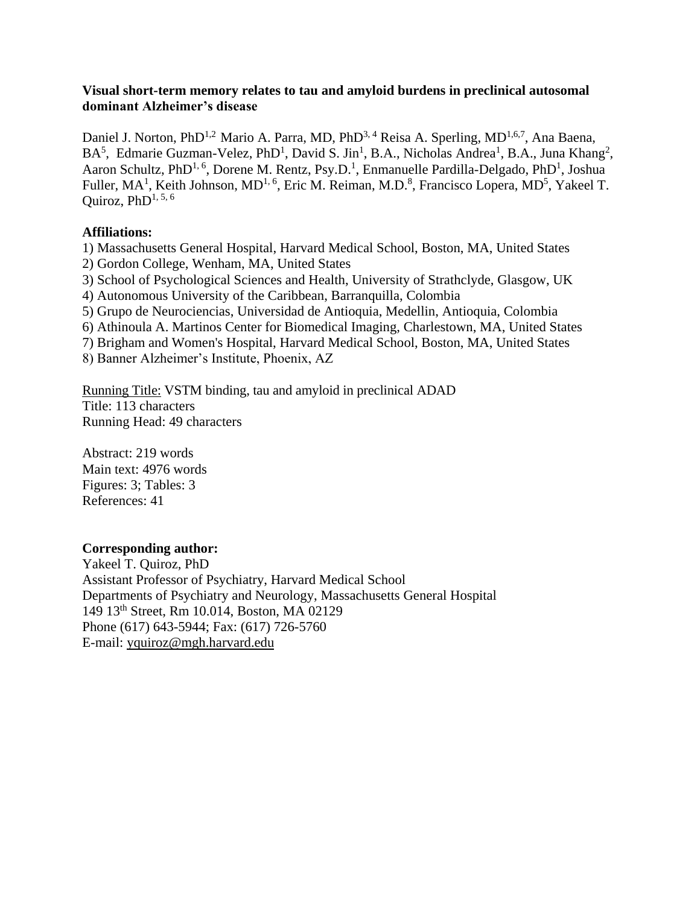## **Visual short-term memory relates to tau and amyloid burdens in preclinical autosomal dominant Alzheimer's disease**

Daniel J. Norton, PhD<sup>1,2</sup> Mario A. Parra, MD, PhD<sup>3, 4</sup> Reisa A. Sperling, MD<sup>1,6,7</sup>, Ana Baena,  $BA^5$ , Edmarie Guzman-Velez, PhD<sup>1</sup>, David S. Jin<sup>1</sup>, B.A., Nicholas Andrea<sup>1</sup>, B.A., Juna Khang<sup>2</sup>, Aaron Schultz, PhD<sup>1, 6</sup>, Dorene M. Rentz, Psy.D.<sup>1</sup>, Enmanuelle Pardilla-Delgado, PhD<sup>1</sup>, Joshua Fuller, MA<sup>1</sup>, Keith Johnson, MD<sup>1, 6</sup>, Eric M. Reiman, M.D.<sup>8</sup>, Francisco Lopera, MD<sup>5</sup>, Yakeel T. Quiroz, PhD $^{1, 5, 6}$ 

# **Affiliations:**

1) Massachusetts General Hospital, Harvard Medical School, Boston, MA, United States 2) Gordon College, Wenham, MA, United States

3) School of Psychological Sciences and Health, University of Strathclyde, Glasgow, UK

4) Autonomous University of the Caribbean, Barranquilla, Colombia

5) Grupo de Neurociencias, Universidad de Antioquia, Medellin, Antioquia, Colombia

6) Athinoula A. Martinos Center for Biomedical Imaging, Charlestown, MA, United States

7) Brigham and Women's Hospital, Harvard Medical School, Boston, MA, United States

8) Banner Alzheimer's Institute, Phoenix, AZ

Running Title: VSTM binding, tau and amyloid in preclinical ADAD Title: 113 characters Running Head: 49 characters

Abstract: 219 words Main text: 4976 words Figures: 3; Tables: 3 References: 41

# **Corresponding author:**

Yakeel T. Quiroz, PhD Assistant Professor of Psychiatry, Harvard Medical School Departments of Psychiatry and Neurology, Massachusetts General Hospital 149 13th Street, Rm 10.014, Boston, MA 02129 Phone (617) 643-5944; Fax: (617) 726-5760 E-mail: [yquiroz@mgh.harvard.edu](mailto:yquiroz@mgh.harvard.edu)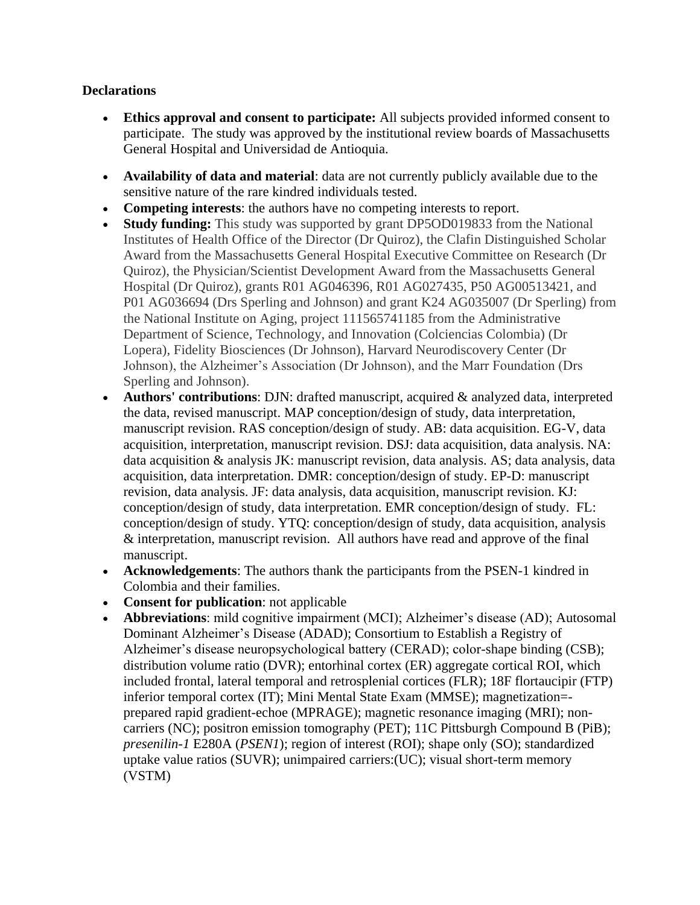# **Declarations**

- **Ethics approval and consent to participate:** All subjects provided informed consent to participate. The study was approved by the institutional review boards of Massachusetts General Hospital and Universidad de Antioquia.
- **Availability of data and material**: data are not currently publicly available due to the sensitive nature of the rare kindred individuals tested.
- **Competing interests**: the authors have no competing interests to report.
- **Study funding:** This study was supported by grant DP5OD019833 from the National Institutes of Health Office of the Director (Dr Quiroz), the Clafin Distinguished Scholar Award from the Massachusetts General Hospital Executive Committee on Research (Dr Quiroz), the Physician/Scientist Development Award from the Massachusetts General Hospital (Dr Quiroz), grants R01 AG046396, R01 AG027435, P50 AG00513421, and P01 AG036694 (Drs Sperling and Johnson) and grant K24 AG035007 (Dr Sperling) from the National Institute on Aging, project 111565741185 from the Administrative Department of Science, Technology, and Innovation (Colciencias Colombia) (Dr Lopera), Fidelity Biosciences (Dr Johnson), Harvard Neurodiscovery Center (Dr Johnson), the Alzheimer's Association (Dr Johnson), and the Marr Foundation (Drs Sperling and Johnson).
- **Authors' contributions**: DJN: drafted manuscript, acquired & analyzed data, interpreted the data, revised manuscript. MAP conception/design of study, data interpretation, manuscript revision. RAS conception/design of study. AB: data acquisition. EG-V, data acquisition, interpretation, manuscript revision. DSJ: data acquisition, data analysis. NA: data acquisition & analysis JK: manuscript revision, data analysis. AS; data analysis, data acquisition, data interpretation. DMR: conception/design of study. EP-D: manuscript revision, data analysis. JF: data analysis, data acquisition, manuscript revision. KJ: conception/design of study, data interpretation. EMR conception/design of study. FL: conception/design of study. YTQ: conception/design of study, data acquisition, analysis & interpretation, manuscript revision. All authors have read and approve of the final manuscript.
- **Acknowledgements**: The authors thank the participants from the PSEN-1 kindred in Colombia and their families.
- **Consent for publication**: not applicable
- **Abbreviations**: mild cognitive impairment (MCI); Alzheimer's disease (AD); Autosomal Dominant Alzheimer's Disease (ADAD); Consortium to Establish a Registry of Alzheimer's disease neuropsychological battery (CERAD); color-shape binding (CSB); distribution volume ratio (DVR); entorhinal cortex (ER) aggregate cortical ROI, which included frontal, lateral temporal and retrosplenial cortices (FLR); 18F flortaucipir (FTP) inferior temporal cortex (IT); Mini Mental State Exam (MMSE); magnetization= prepared rapid gradient-echoe (MPRAGE); magnetic resonance imaging (MRI); noncarriers (NC); positron emission tomography (PET); 11C Pittsburgh Compound B (PiB); *presenilin-1* E280A (*PSEN1*); region of interest (ROI); shape only (SO); standardized uptake value ratios (SUVR); unimpaired carriers:(UC); visual short-term memory (VSTM)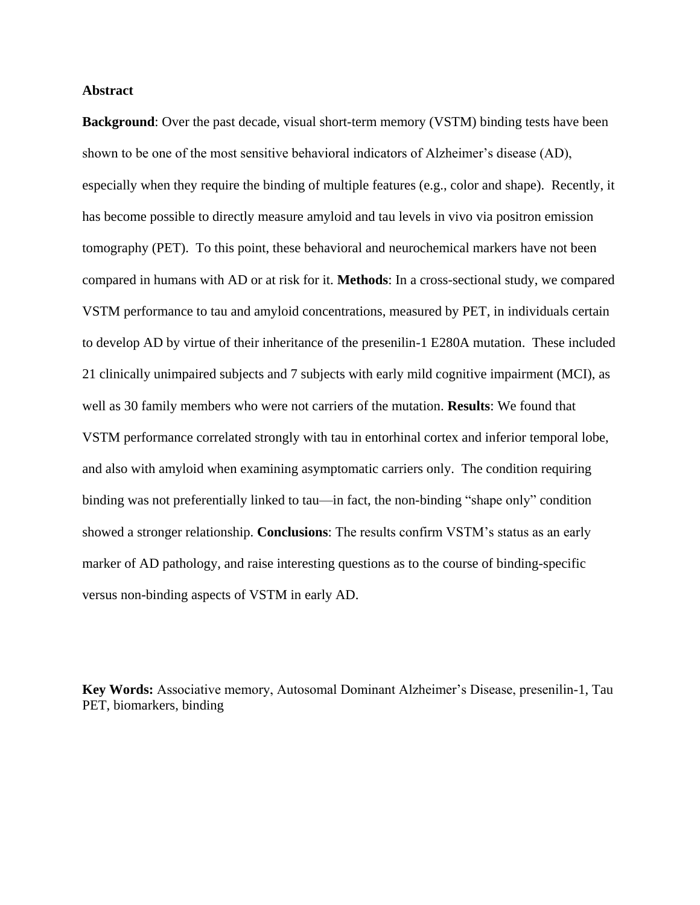#### **Abstract**

**Background**: Over the past decade, visual short-term memory (VSTM) binding tests have been shown to be one of the most sensitive behavioral indicators of Alzheimer's disease (AD), especially when they require the binding of multiple features (e.g., color and shape). Recently, it has become possible to directly measure amyloid and tau levels in vivo via positron emission tomography (PET). To this point, these behavioral and neurochemical markers have not been compared in humans with AD or at risk for it. **Methods**: In a cross-sectional study, we compared VSTM performance to tau and amyloid concentrations, measured by PET, in individuals certain to develop AD by virtue of their inheritance of the presenilin-1 E280A mutation. These included 21 clinically unimpaired subjects and 7 subjects with early mild cognitive impairment (MCI), as well as 30 family members who were not carriers of the mutation. **Results**: We found that VSTM performance correlated strongly with tau in entorhinal cortex and inferior temporal lobe, and also with amyloid when examining asymptomatic carriers only. The condition requiring binding was not preferentially linked to tau—in fact, the non-binding "shape only" condition showed a stronger relationship. **Conclusions**: The results confirm VSTM's status as an early marker of AD pathology, and raise interesting questions as to the course of binding-specific versus non-binding aspects of VSTM in early AD.

**Key Words:** Associative memory, Autosomal Dominant Alzheimer's Disease, presenilin-1, Tau PET, biomarkers, binding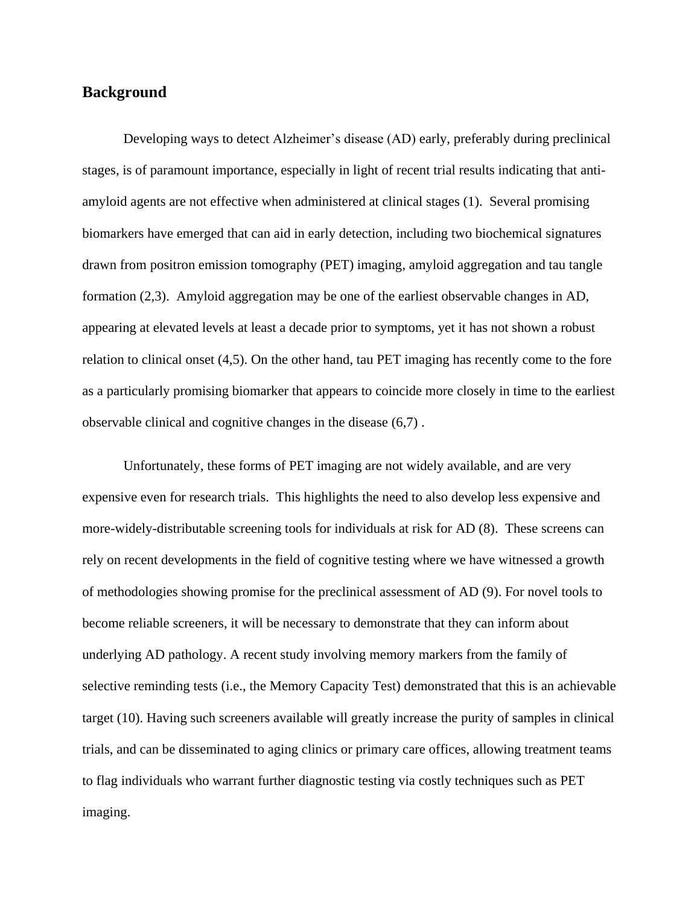# **Background**

Developing ways to detect Alzheimer's disease (AD) early, preferably during preclinical stages, is of paramount importance, especially in light of recent trial results indicating that antiamyloid agents are not effective when administered at clinical stages (1). Several promising biomarkers have emerged that can aid in early detection, including two biochemical signatures drawn from positron emission tomography (PET) imaging, amyloid aggregation and tau tangle formation (2,3). Amyloid aggregation may be one of the earliest observable changes in AD, appearing at elevated levels at least a decade prior to symptoms, yet it has not shown a robust relation to clinical onset (4,5). On the other hand, tau PET imaging has recently come to the fore as a particularly promising biomarker that appears to coincide more closely in time to the earliest observable clinical and cognitive changes in the disease (6,7) .

Unfortunately, these forms of PET imaging are not widely available, and are very expensive even for research trials. This highlights the need to also develop less expensive and more-widely-distributable screening tools for individuals at risk for AD (8). These screens can rely on recent developments in the field of cognitive testing where we have witnessed a growth of methodologies showing promise for the preclinical assessment of AD (9). For novel tools to become reliable screeners, it will be necessary to demonstrate that they can inform about underlying AD pathology. A recent study involving memory markers from the family of selective reminding tests (i.e., the Memory Capacity Test) demonstrated that this is an achievable target (10). Having such screeners available will greatly increase the purity of samples in clinical trials, and can be disseminated to aging clinics or primary care offices, allowing treatment teams to flag individuals who warrant further diagnostic testing via costly techniques such as PET imaging.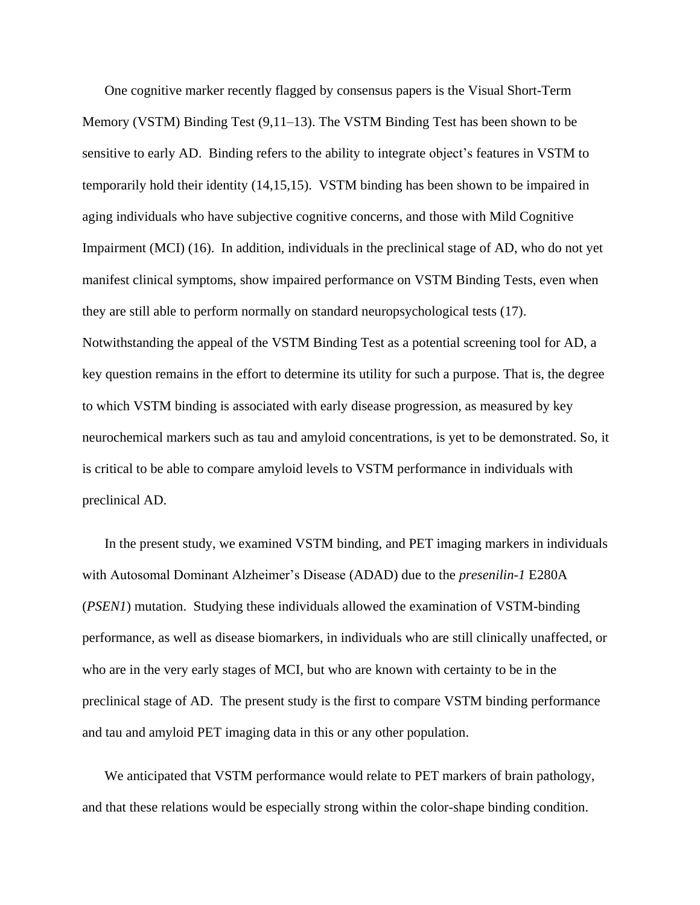One cognitive marker recently flagged by consensus papers is the Visual Short-Term Memory (VSTM) Binding Test (9,11–13). The VSTM Binding Test has been shown to be sensitive to early AD. Binding refers to the ability to integrate object's features in VSTM to temporarily hold their identity (14,15,15). VSTM binding has been shown to be impaired in aging individuals who have subjective cognitive concerns, and those with Mild Cognitive Impairment (MCI) (16). In addition, individuals in the preclinical stage of AD, who do not yet manifest clinical symptoms, show impaired performance on VSTM Binding Tests, even when they are still able to perform normally on standard neuropsychological tests (17). Notwithstanding the appeal of the VSTM Binding Test as a potential screening tool for AD, a key question remains in the effort to determine its utility for such a purpose. That is, the degree to which VSTM binding is associated with early disease progression, as measured by key neurochemical markers such as tau and amyloid concentrations, is yet to be demonstrated. So, it is critical to be able to compare amyloid levels to VSTM performance in individuals with preclinical AD.

In the present study, we examined VSTM binding, and PET imaging markers in individuals with Autosomal Dominant Alzheimer's Disease (ADAD) due to the *presenilin-1* E280A (*PSEN1*) mutation. Studying these individuals allowed the examination of VSTM-binding performance, as well as disease biomarkers, in individuals who are still clinically unaffected, or who are in the very early stages of MCI, but who are known with certainty to be in the preclinical stage of AD. The present study is the first to compare VSTM binding performance and tau and amyloid PET imaging data in this or any other population.

We anticipated that VSTM performance would relate to PET markers of brain pathology, and that these relations would be especially strong within the color-shape binding condition.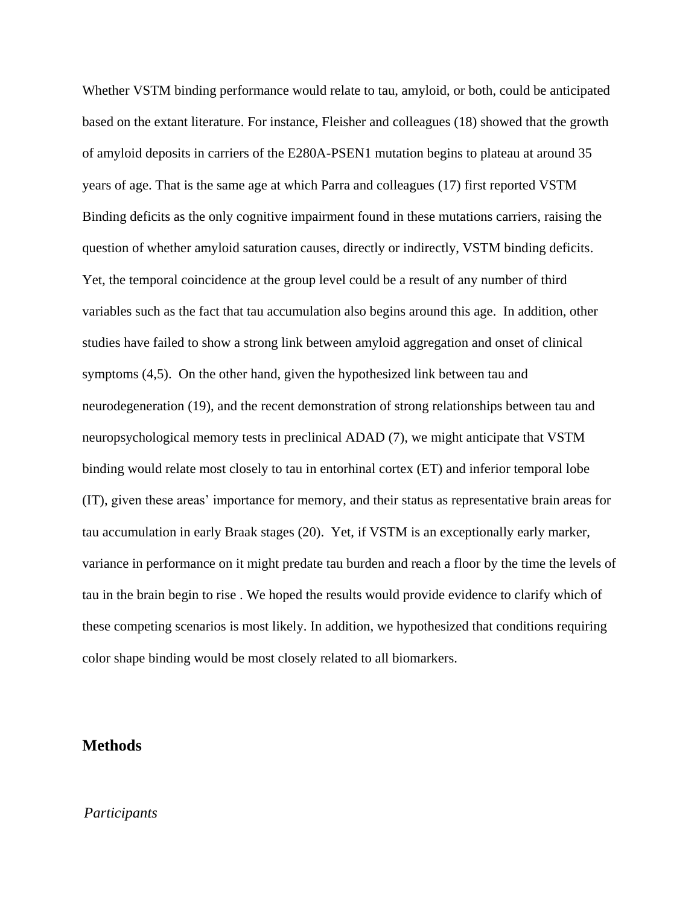Whether VSTM binding performance would relate to tau, amyloid, or both, could be anticipated based on the extant literature. For instance, Fleisher and colleagues (18) showed that the growth of amyloid deposits in carriers of the E280A-PSEN1 mutation begins to plateau at around 35 years of age. That is the same age at which Parra and colleagues (17) first reported VSTM Binding deficits as the only cognitive impairment found in these mutations carriers, raising the question of whether amyloid saturation causes, directly or indirectly, VSTM binding deficits. Yet, the temporal coincidence at the group level could be a result of any number of third variables such as the fact that tau accumulation also begins around this age. In addition, other studies have failed to show a strong link between amyloid aggregation and onset of clinical symptoms (4,5). On the other hand, given the hypothesized link between tau and neurodegeneration (19), and the recent demonstration of strong relationships between tau and neuropsychological memory tests in preclinical ADAD (7), we might anticipate that VSTM binding would relate most closely to tau in entorhinal cortex (ET) and inferior temporal lobe (IT), given these areas' importance for memory, and their status as representative brain areas for tau accumulation in early Braak stages (20). Yet, if VSTM is an exceptionally early marker, variance in performance on it might predate tau burden and reach a floor by the time the levels of tau in the brain begin to rise . We hoped the results would provide evidence to clarify which of these competing scenarios is most likely. In addition, we hypothesized that conditions requiring color shape binding would be most closely related to all biomarkers.

# **Methods**

## *Participants*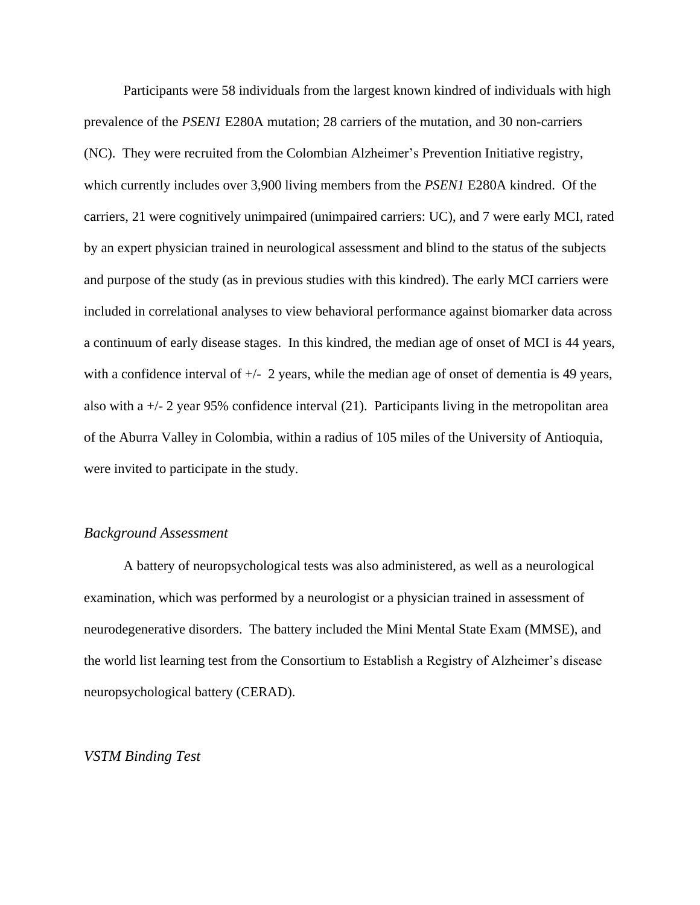Participants were 58 individuals from the largest known kindred of individuals with high prevalence of the *PSEN1* E280A mutation; 28 carriers of the mutation, and 30 non-carriers (NC). They were recruited from the Colombian Alzheimer's Prevention Initiative registry, which currently includes over 3,900 living members from the *PSEN1* E280A kindred. Of the carriers, 21 were cognitively unimpaired (unimpaired carriers: UC), and 7 were early MCI, rated by an expert physician trained in neurological assessment and blind to the status of the subjects and purpose of the study (as in previous studies with this kindred). The early MCI carriers were included in correlational analyses to view behavioral performance against biomarker data across a continuum of early disease stages. In this kindred, the median age of onset of MCI is 44 years, with a confidence interval of  $\pm$  2 years, while the median age of onset of dementia is 49 years, also with a  $+/-$  2 year 95% confidence interval (21). Participants living in the metropolitan area of the Aburra Valley in Colombia, within a radius of 105 miles of the University of Antioquia, were invited to participate in the study.

## *Background Assessment*

A battery of neuropsychological tests was also administered, as well as a neurological examination, which was performed by a neurologist or a physician trained in assessment of neurodegenerative disorders. The battery included the Mini Mental State Exam (MMSE), and the world list learning test from the Consortium to Establish a Registry of Alzheimer's disease neuropsychological battery (CERAD).

#### *VSTM Binding Test*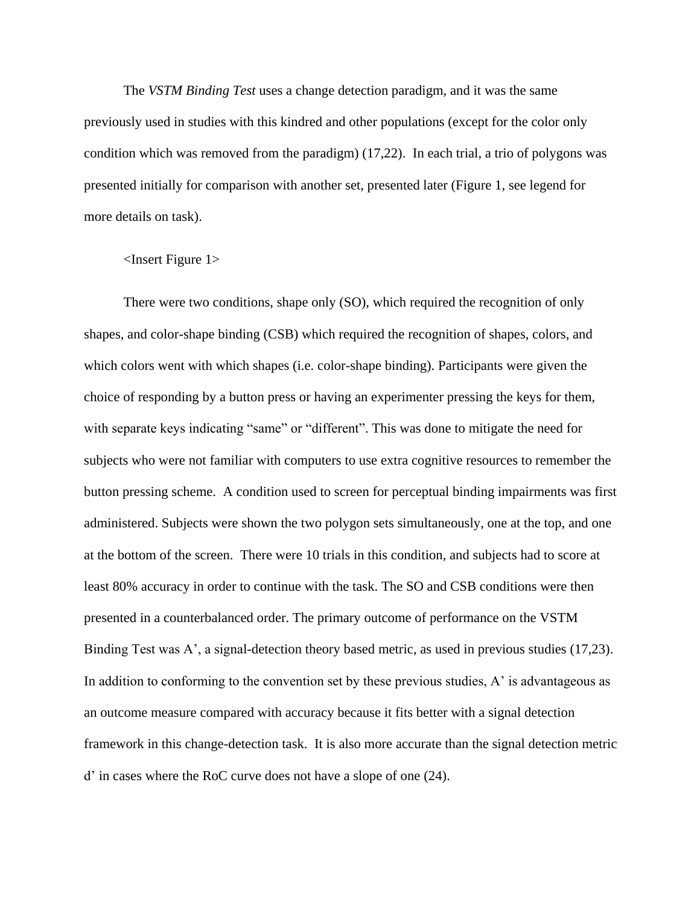The *VSTM Binding Test* uses a change detection paradigm, and it was the same previously used in studies with this kindred and other populations (except for the color only condition which was removed from the paradigm) (17,22). In each trial, a trio of polygons was presented initially for comparison with another set, presented later (Figure 1, see legend for more details on task).

#### <Insert Figure 1>

There were two conditions, shape only (SO), which required the recognition of only shapes, and color-shape binding (CSB) which required the recognition of shapes, colors, and which colors went with which shapes (i.e. color-shape binding). Participants were given the choice of responding by a button press or having an experimenter pressing the keys for them, with separate keys indicating "same" or "different". This was done to mitigate the need for subjects who were not familiar with computers to use extra cognitive resources to remember the button pressing scheme. A condition used to screen for perceptual binding impairments was first administered. Subjects were shown the two polygon sets simultaneously, one at the top, and one at the bottom of the screen. There were 10 trials in this condition, and subjects had to score at least 80% accuracy in order to continue with the task. The SO and CSB conditions were then presented in a counterbalanced order. The primary outcome of performance on the VSTM Binding Test was A', a signal-detection theory based metric, as used in previous studies (17,23). In addition to conforming to the convention set by these previous studies,  $A'$  is advantageous as an outcome measure compared with accuracy because it fits better with a signal detection framework in this change-detection task. It is also more accurate than the signal detection metric d' in cases where the RoC curve does not have a slope of one (24).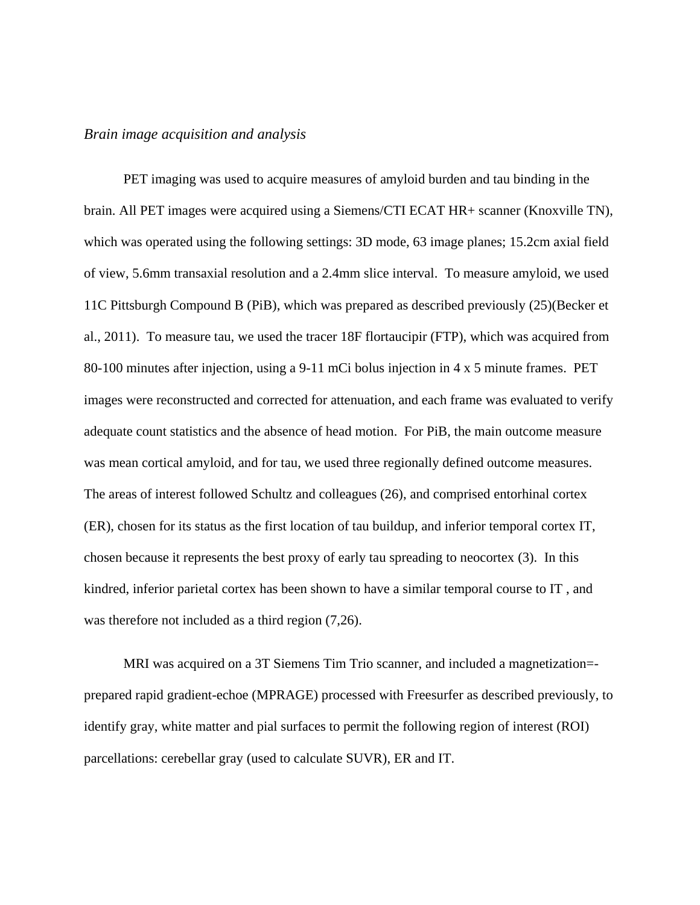## *Brain image acquisition and analysis*

PET imaging was used to acquire measures of amyloid burden and tau binding in the brain. All PET images were acquired using a Siemens/CTI ECAT HR+ scanner (Knoxville TN), which was operated using the following settings: 3D mode, 63 image planes; 15.2cm axial field of view, 5.6mm transaxial resolution and a 2.4mm slice interval. To measure amyloid, we used 11C Pittsburgh Compound B (PiB), which was prepared as described previously (25)(Becker et al., 2011). To measure tau, we used the tracer 18F flortaucipir (FTP), which was acquired from 80-100 minutes after injection, using a 9-11 mCi bolus injection in 4 x 5 minute frames. PET images were reconstructed and corrected for attenuation, and each frame was evaluated to verify adequate count statistics and the absence of head motion. For PiB, the main outcome measure was mean cortical amyloid, and for tau, we used three regionally defined outcome measures. The areas of interest followed Schultz and colleagues (26), and comprised entorhinal cortex (ER), chosen for its status as the first location of tau buildup, and inferior temporal cortex IT, chosen because it represents the best proxy of early tau spreading to neocortex (3). In this kindred, inferior parietal cortex has been shown to have a similar temporal course to IT , and was therefore not included as a third region (7,26).

MRI was acquired on a 3T Siemens Tim Trio scanner, and included a magnetization= prepared rapid gradient-echoe (MPRAGE) processed with Freesurfer as described previously, to identify gray, white matter and pial surfaces to permit the following region of interest (ROI) parcellations: cerebellar gray (used to calculate SUVR), ER and IT.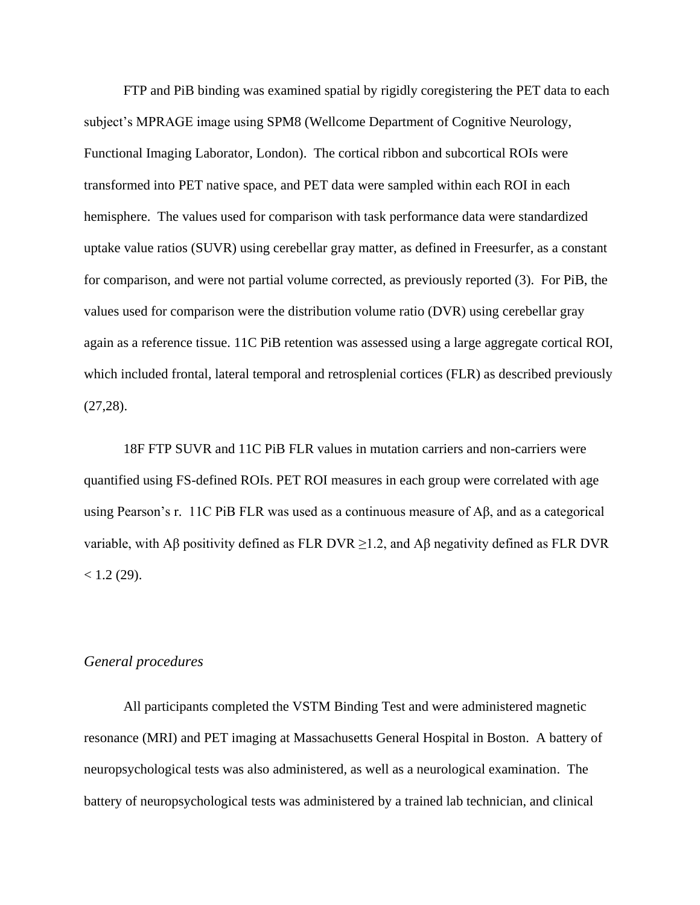FTP and PiB binding was examined spatial by rigidly coregistering the PET data to each subject's MPRAGE image using SPM8 (Wellcome Department of Cognitive Neurology, Functional Imaging Laborator, London). The cortical ribbon and subcortical ROIs were transformed into PET native space, and PET data were sampled within each ROI in each hemisphere. The values used for comparison with task performance data were standardized uptake value ratios (SUVR) using cerebellar gray matter, as defined in Freesurfer, as a constant for comparison, and were not partial volume corrected, as previously reported (3). For PiB, the values used for comparison were the distribution volume ratio (DVR) using cerebellar gray again as a reference tissue. 11C PiB retention was assessed using a large aggregate cortical ROI, which included frontal, lateral temporal and retrosplenial cortices (FLR) as described previously (27,28).

18F FTP SUVR and 11C PiB FLR values in mutation carriers and non-carriers were quantified using FS-defined ROIs. PET ROI measures in each group were correlated with age using Pearson's r. 11C PiB FLR was used as a continuous measure of Aβ, and as a categorical variable, with Aβ positivity defined as FLR DVR  $\geq$ 1.2, and Aβ negativity defined as FLR DVR  $< 1.2$  (29).

## *General procedures*

All participants completed the VSTM Binding Test and were administered magnetic resonance (MRI) and PET imaging at Massachusetts General Hospital in Boston. A battery of neuropsychological tests was also administered, as well as a neurological examination. The battery of neuropsychological tests was administered by a trained lab technician, and clinical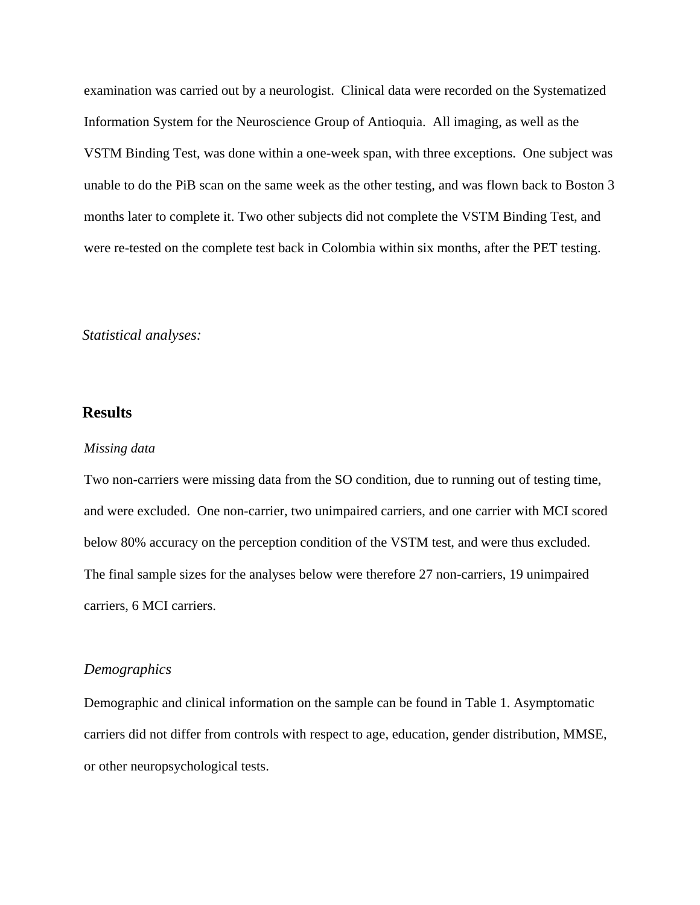examination was carried out by a neurologist. Clinical data were recorded on the Systematized Information System for the Neuroscience Group of Antioquia. All imaging, as well as the VSTM Binding Test, was done within a one-week span, with three exceptions. One subject was unable to do the PiB scan on the same week as the other testing, and was flown back to Boston 3 months later to complete it. Two other subjects did not complete the VSTM Binding Test, and were re-tested on the complete test back in Colombia within six months, after the PET testing.

## *Statistical analyses:*

# **Results**

#### *Missing data*

Two non-carriers were missing data from the SO condition, due to running out of testing time, and were excluded. One non-carrier, two unimpaired carriers, and one carrier with MCI scored below 80% accuracy on the perception condition of the VSTM test, and were thus excluded. The final sample sizes for the analyses below were therefore 27 non-carriers, 19 unimpaired carriers, 6 MCI carriers.

#### *Demographics*

Demographic and clinical information on the sample can be found in Table 1. Asymptomatic carriers did not differ from controls with respect to age, education, gender distribution, MMSE, or other neuropsychological tests.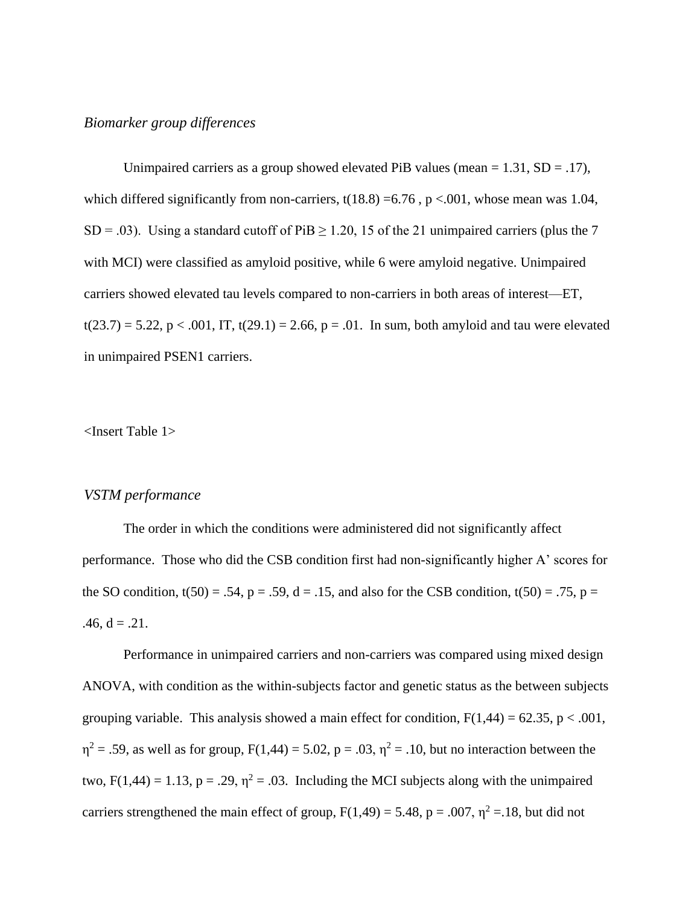## *Biomarker group differences*

Unimpaired carriers as a group showed elevated PiB values (mean  $= 1.31$ , SD  $= .17$ ), which differed significantly from non-carriers,  $t(18.8) = 6.76$ ,  $p < .001$ , whose mean was 1.04, SD = .03). Using a standard cutoff of PiB  $\geq$  1.20, 15 of the 21 unimpaired carriers (plus the 7 with MCI) were classified as amyloid positive, while 6 were amyloid negative. Unimpaired carriers showed elevated tau levels compared to non-carriers in both areas of interest—ET,  $t(23.7) = 5.22$ ,  $p < .001$ , IT,  $t(29.1) = 2.66$ ,  $p = .01$ . In sum, both amyloid and tau were elevated in unimpaired PSEN1 carriers.

<Insert Table 1>

#### *VSTM performance*

The order in which the conditions were administered did not significantly affect performance. Those who did the CSB condition first had non-significantly higher A' scores for the SO condition,  $t(50) = .54$ ,  $p = .59$ ,  $d = .15$ , and also for the CSB condition,  $t(50) = .75$ ,  $p =$ .46,  $d = .21$ .

Performance in unimpaired carriers and non-carriers was compared using mixed design ANOVA, with condition as the within-subjects factor and genetic status as the between subjects grouping variable. This analysis showed a main effect for condition,  $F(1,44) = 62.35$ ,  $p < .001$ ,  $\eta^2$  = .59, as well as for group, F(1,44) = 5.02, p = .03,  $\eta^2$  = .10, but no interaction between the two,  $F(1,44) = 1.13$ ,  $p = .29$ ,  $\eta^2 = .03$ . Including the MCI subjects along with the unimpaired carriers strengthened the main effect of group,  $F(1,49) = 5.48$ ,  $p = .007$ ,  $\eta^2 = .18$ , but did not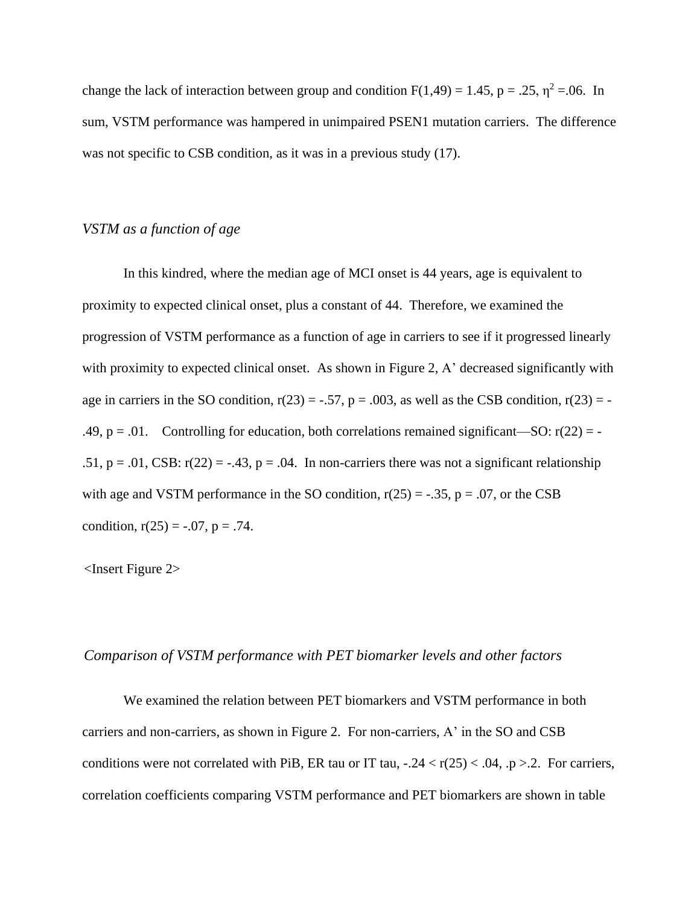change the lack of interaction between group and condition  $F(1,49) = 1.45$ , p = .25,  $\eta^2 = .06$ . In sum, VSTM performance was hampered in unimpaired PSEN1 mutation carriers. The difference was not specific to CSB condition, as it was in a previous study  $(17)$ .

## *VSTM as a function of age*

In this kindred, where the median age of MCI onset is 44 years, age is equivalent to proximity to expected clinical onset, plus a constant of 44. Therefore, we examined the progression of VSTM performance as a function of age in carriers to see if it progressed linearly with proximity to expected clinical onset. As shown in Figure 2, A' decreased significantly with age in carriers in the SO condition,  $r(23) = -.57$ ,  $p = .003$ , as well as the CSB condition,  $r(23) = -$ .49,  $p = .01$ . Controlling for education, both correlations remained significant—SO:  $r(22) = -$ .51,  $p = .01$ , CSB:  $r(22) = -.43$ ,  $p = .04$ . In non-carriers there was not a significant relationship with age and VSTM performance in the SO condition,  $r(25) = -.35$ ,  $p = .07$ , or the CSB condition,  $r(25) = -.07$ ,  $p = .74$ .

<Insert Figure 2>

## *Comparison of VSTM performance with PET biomarker levels and other factors*

We examined the relation between PET biomarkers and VSTM performance in both carriers and non-carriers, as shown in Figure 2. For non-carriers, A' in the SO and CSB conditions were not correlated with PiB, ER tau or IT tau,  $-0.24 < r(25) < 0.04$ ,  $p > 0.2$ . For carriers, correlation coefficients comparing VSTM performance and PET biomarkers are shown in table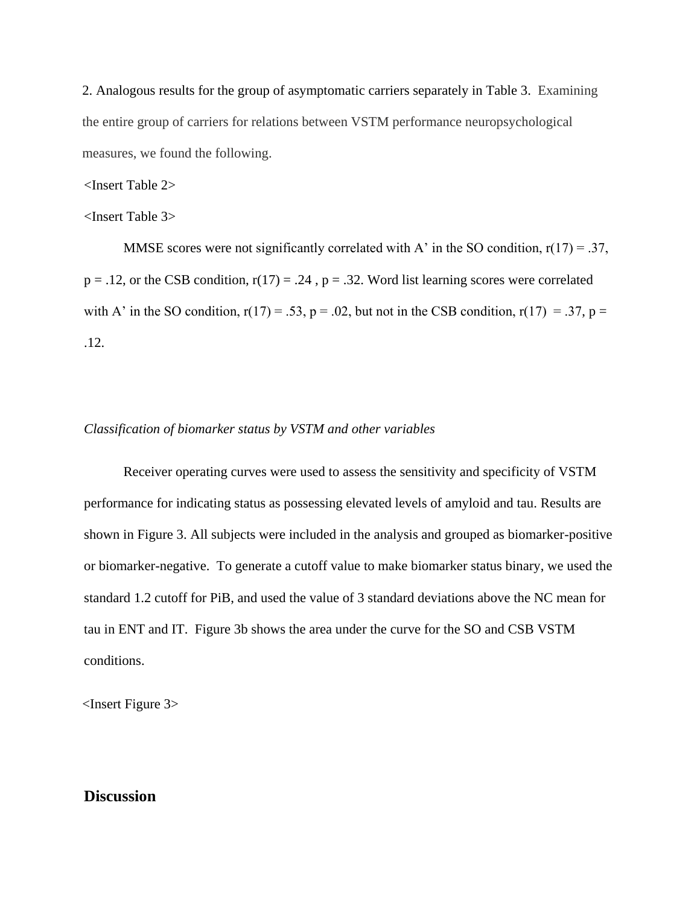2. Analogous results for the group of asymptomatic carriers separately in Table 3. Examining the entire group of carriers for relations between VSTM performance neuropsychological measures, we found the following.

<Insert Table 2>

<Insert Table 3>

MMSE scores were not significantly correlated with A' in the SO condition,  $r(17) = .37$ ,  $p = .12$ , or the CSB condition,  $r(17) = .24$ ,  $p = .32$ . Word list learning scores were correlated with A' in the SO condition,  $r(17) = .53$ ,  $p = .02$ , but not in the CSB condition,  $r(17) = .37$ ,  $p =$ .12.

#### *Classification of biomarker status by VSTM and other variables*

Receiver operating curves were used to assess the sensitivity and specificity of VSTM performance for indicating status as possessing elevated levels of amyloid and tau. Results are shown in Figure 3. All subjects were included in the analysis and grouped as biomarker-positive or biomarker-negative. To generate a cutoff value to make biomarker status binary, we used the standard 1.2 cutoff for PiB, and used the value of 3 standard deviations above the NC mean for tau in ENT and IT. Figure 3b shows the area under the curve for the SO and CSB VSTM conditions.

<Insert Figure 3>

# **Discussion**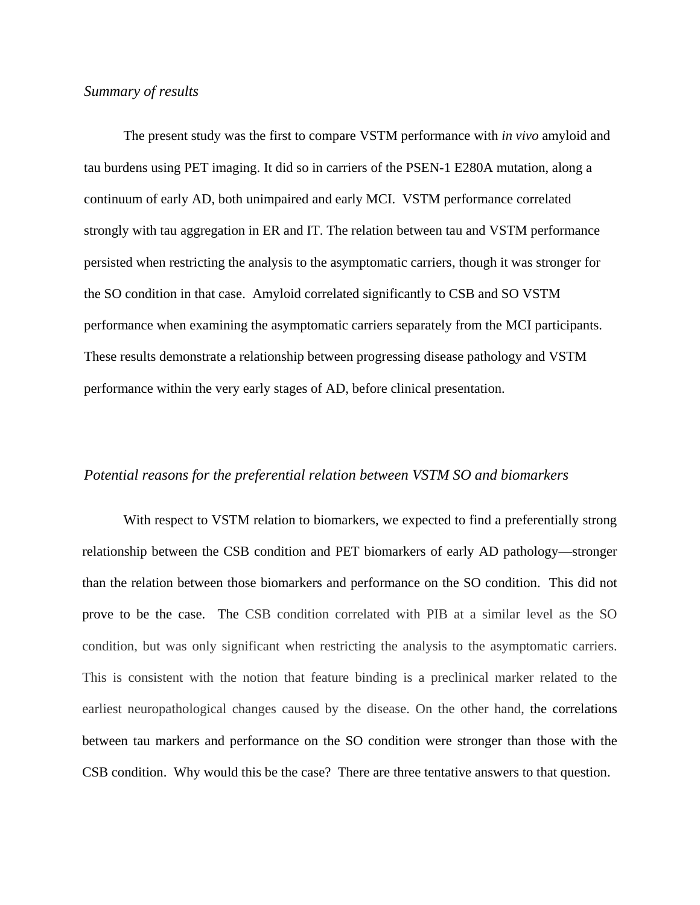# *Summary of results*

The present study was the first to compare VSTM performance with *in vivo* amyloid and tau burdens using PET imaging. It did so in carriers of the PSEN-1 E280A mutation, along a continuum of early AD, both unimpaired and early MCI. VSTM performance correlated strongly with tau aggregation in ER and IT. The relation between tau and VSTM performance persisted when restricting the analysis to the asymptomatic carriers, though it was stronger for the SO condition in that case. Amyloid correlated significantly to CSB and SO VSTM performance when examining the asymptomatic carriers separately from the MCI participants. These results demonstrate a relationship between progressing disease pathology and VSTM performance within the very early stages of AD, before clinical presentation.

#### *Potential reasons for the preferential relation between VSTM SO and biomarkers*

With respect to VSTM relation to biomarkers, we expected to find a preferentially strong relationship between the CSB condition and PET biomarkers of early AD pathology—stronger than the relation between those biomarkers and performance on the SO condition. This did not prove to be the case. The CSB condition correlated with PIB at a similar level as the SO condition, but was only significant when restricting the analysis to the asymptomatic carriers. This is consistent with the notion that feature binding is a preclinical marker related to the earliest neuropathological changes caused by the disease. On the other hand, the correlations between tau markers and performance on the SO condition were stronger than those with the CSB condition. Why would this be the case? There are three tentative answers to that question.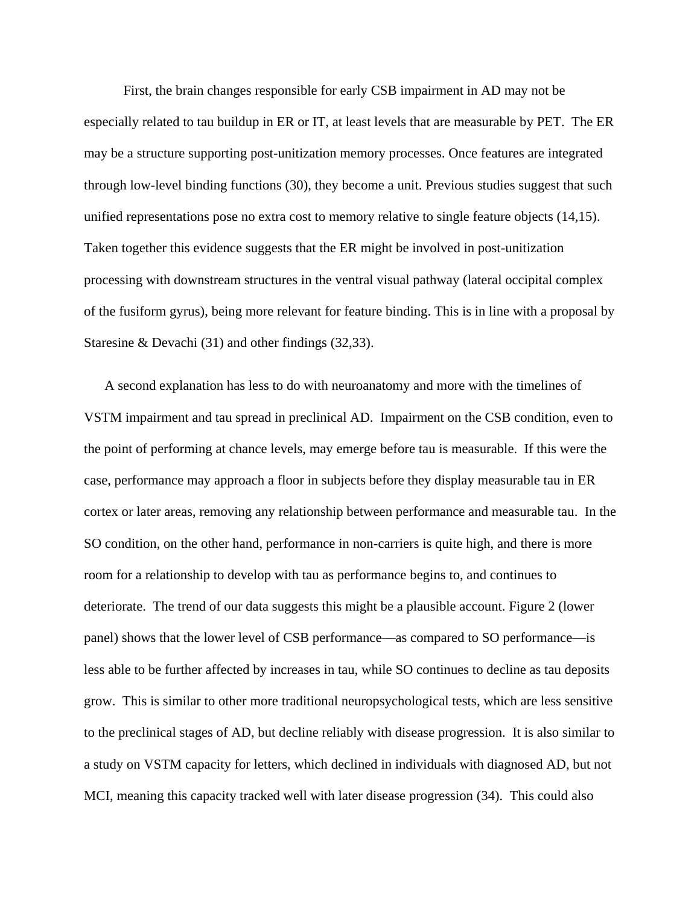First, the brain changes responsible for early CSB impairment in AD may not be especially related to tau buildup in ER or IT, at least levels that are measurable by PET. The ER may be a structure supporting post-unitization memory processes. Once features are integrated through low-level binding functions (30), they become a unit. Previous studies suggest that such unified representations pose no extra cost to memory relative to single feature objects (14,15). Taken together this evidence suggests that the ER might be involved in post-unitization processing with downstream structures in the ventral visual pathway (lateral occipital complex of the fusiform gyrus), being more relevant for feature binding. This is in line with a proposal by Staresine & Devachi (31) and other findings (32,33).

A second explanation has less to do with neuroanatomy and more with the timelines of VSTM impairment and tau spread in preclinical AD. Impairment on the CSB condition, even to the point of performing at chance levels, may emerge before tau is measurable. If this were the case, performance may approach a floor in subjects before they display measurable tau in ER cortex or later areas, removing any relationship between performance and measurable tau. In the SO condition, on the other hand, performance in non-carriers is quite high, and there is more room for a relationship to develop with tau as performance begins to, and continues to deteriorate. The trend of our data suggests this might be a plausible account. Figure 2 (lower panel) shows that the lower level of CSB performance—as compared to SO performance—is less able to be further affected by increases in tau, while SO continues to decline as tau deposits grow. This is similar to other more traditional neuropsychological tests, which are less sensitive to the preclinical stages of AD, but decline reliably with disease progression. It is also similar to a study on VSTM capacity for letters, which declined in individuals with diagnosed AD, but not MCI, meaning this capacity tracked well with later disease progression (34). This could also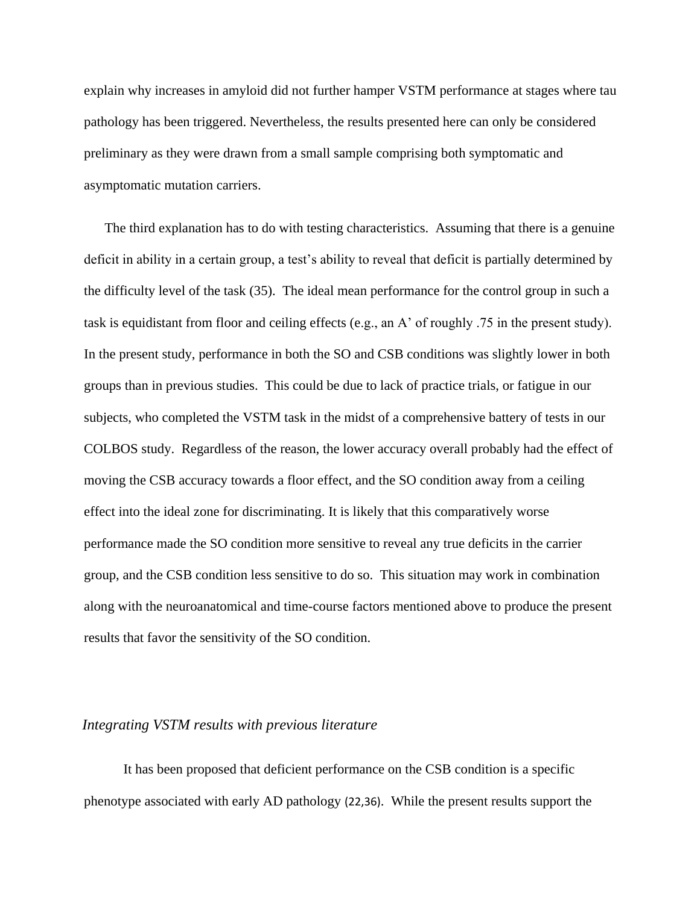explain why increases in amyloid did not further hamper VSTM performance at stages where tau pathology has been triggered. Nevertheless, the results presented here can only be considered preliminary as they were drawn from a small sample comprising both symptomatic and asymptomatic mutation carriers.

The third explanation has to do with testing characteristics. Assuming that there is a genuine deficit in ability in a certain group, a test's ability to reveal that deficit is partially determined by the difficulty level of the task (35). The ideal mean performance for the control group in such a task is equidistant from floor and ceiling effects (e.g., an A' of roughly .75 in the present study). In the present study, performance in both the SO and CSB conditions was slightly lower in both groups than in previous studies. This could be due to lack of practice trials, or fatigue in our subjects, who completed the VSTM task in the midst of a comprehensive battery of tests in our COLBOS study. Regardless of the reason, the lower accuracy overall probably had the effect of moving the CSB accuracy towards a floor effect, and the SO condition away from a ceiling effect into the ideal zone for discriminating. It is likely that this comparatively worse performance made the SO condition more sensitive to reveal any true deficits in the carrier group, and the CSB condition less sensitive to do so. This situation may work in combination along with the neuroanatomical and time-course factors mentioned above to produce the present results that favor the sensitivity of the SO condition.

#### *Integrating VSTM results with previous literature*

It has been proposed that deficient performance on the CSB condition is a specific phenotype associated with early AD pathology (22,36). While the present results support the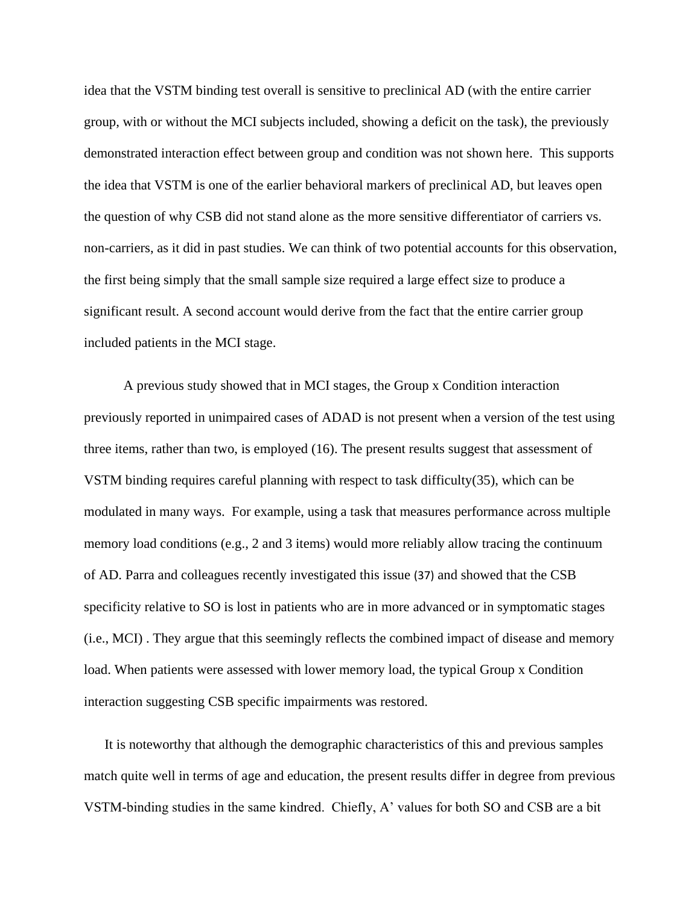idea that the VSTM binding test overall is sensitive to preclinical AD (with the entire carrier group, with or without the MCI subjects included, showing a deficit on the task), the previously demonstrated interaction effect between group and condition was not shown here. This supports the idea that VSTM is one of the earlier behavioral markers of preclinical AD, but leaves open the question of why CSB did not stand alone as the more sensitive differentiator of carriers vs. non-carriers, as it did in past studies. We can think of two potential accounts for this observation, the first being simply that the small sample size required a large effect size to produce a significant result. A second account would derive from the fact that the entire carrier group included patients in the MCI stage.

A previous study showed that in MCI stages, the Group x Condition interaction previously reported in unimpaired cases of ADAD is not present when a version of the test using three items, rather than two, is employed (16). The present results suggest that assessment of VSTM binding requires careful planning with respect to task difficulty(35), which can be modulated in many ways. For example, using a task that measures performance across multiple memory load conditions (e.g., 2 and 3 items) would more reliably allow tracing the continuum of AD. Parra and colleagues recently investigated this issue (37) and showed that the CSB specificity relative to SO is lost in patients who are in more advanced or in symptomatic stages (i.e., MCI) . They argue that this seemingly reflects the combined impact of disease and memory load. When patients were assessed with lower memory load, the typical Group x Condition interaction suggesting CSB specific impairments was restored.

It is noteworthy that although the demographic characteristics of this and previous samples match quite well in terms of age and education, the present results differ in degree from previous VSTM-binding studies in the same kindred. Chiefly, A' values for both SO and CSB are a bit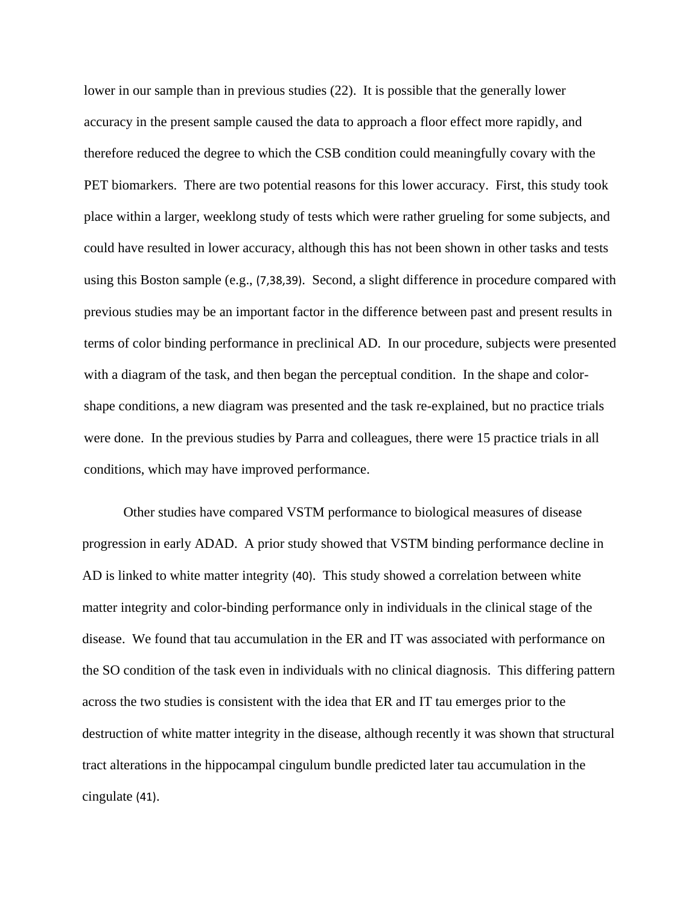lower in our sample than in previous studies (22). It is possible that the generally lower accuracy in the present sample caused the data to approach a floor effect more rapidly, and therefore reduced the degree to which the CSB condition could meaningfully covary with the PET biomarkers. There are two potential reasons for this lower accuracy. First, this study took place within a larger, weeklong study of tests which were rather grueling for some subjects, and could have resulted in lower accuracy, although this has not been shown in other tasks and tests using this Boston sample (e.g., (7,38,39). Second, a slight difference in procedure compared with previous studies may be an important factor in the difference between past and present results in terms of color binding performance in preclinical AD. In our procedure, subjects were presented with a diagram of the task, and then began the perceptual condition. In the shape and colorshape conditions, a new diagram was presented and the task re-explained, but no practice trials were done. In the previous studies by Parra and colleagues, there were 15 practice trials in all conditions, which may have improved performance.

Other studies have compared VSTM performance to biological measures of disease progression in early ADAD. A prior study showed that VSTM binding performance decline in AD is linked to white matter integrity (40). This study showed a correlation between white matter integrity and color-binding performance only in individuals in the clinical stage of the disease. We found that tau accumulation in the ER and IT was associated with performance on the SO condition of the task even in individuals with no clinical diagnosis. This differing pattern across the two studies is consistent with the idea that ER and IT tau emerges prior to the destruction of white matter integrity in the disease, although recently it was shown that structural tract alterations in the hippocampal cingulum bundle predicted later tau accumulation in the cingulate (41).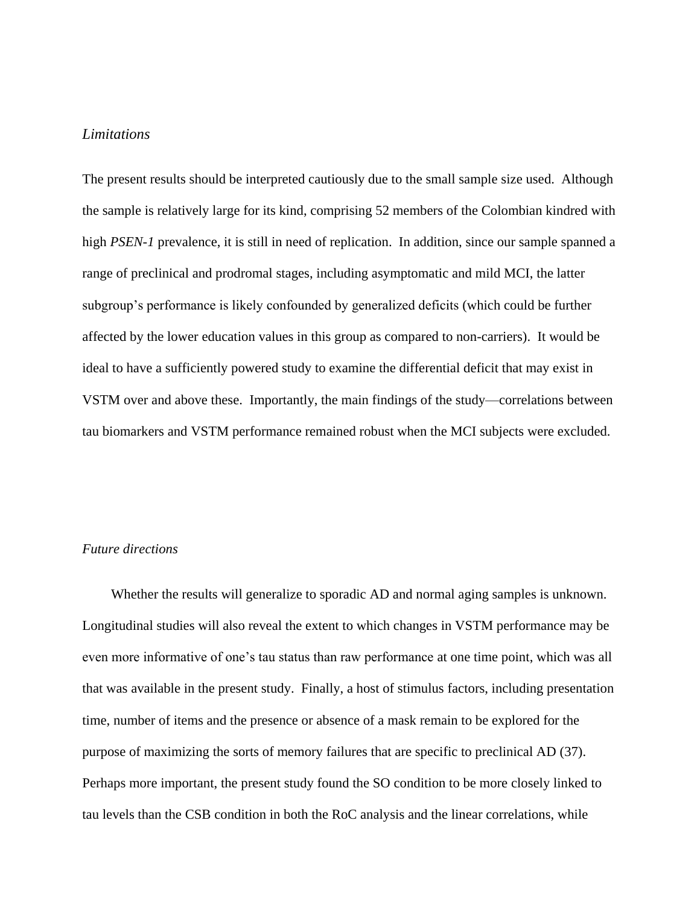## *Limitations*

The present results should be interpreted cautiously due to the small sample size used. Although the sample is relatively large for its kind, comprising 52 members of the Colombian kindred with high *PSEN-1* prevalence, it is still in need of replication. In addition, since our sample spanned a range of preclinical and prodromal stages, including asymptomatic and mild MCI, the latter subgroup's performance is likely confounded by generalized deficits (which could be further affected by the lower education values in this group as compared to non-carriers). It would be ideal to have a sufficiently powered study to examine the differential deficit that may exist in VSTM over and above these. Importantly, the main findings of the study—correlations between tau biomarkers and VSTM performance remained robust when the MCI subjects were excluded.

## *Future directions*

Whether the results will generalize to sporadic AD and normal aging samples is unknown. Longitudinal studies will also reveal the extent to which changes in VSTM performance may be even more informative of one's tau status than raw performance at one time point, which was all that was available in the present study. Finally, a host of stimulus factors, including presentation time, number of items and the presence or absence of a mask remain to be explored for the purpose of maximizing the sorts of memory failures that are specific to preclinical AD (37). Perhaps more important, the present study found the SO condition to be more closely linked to tau levels than the CSB condition in both the RoC analysis and the linear correlations, while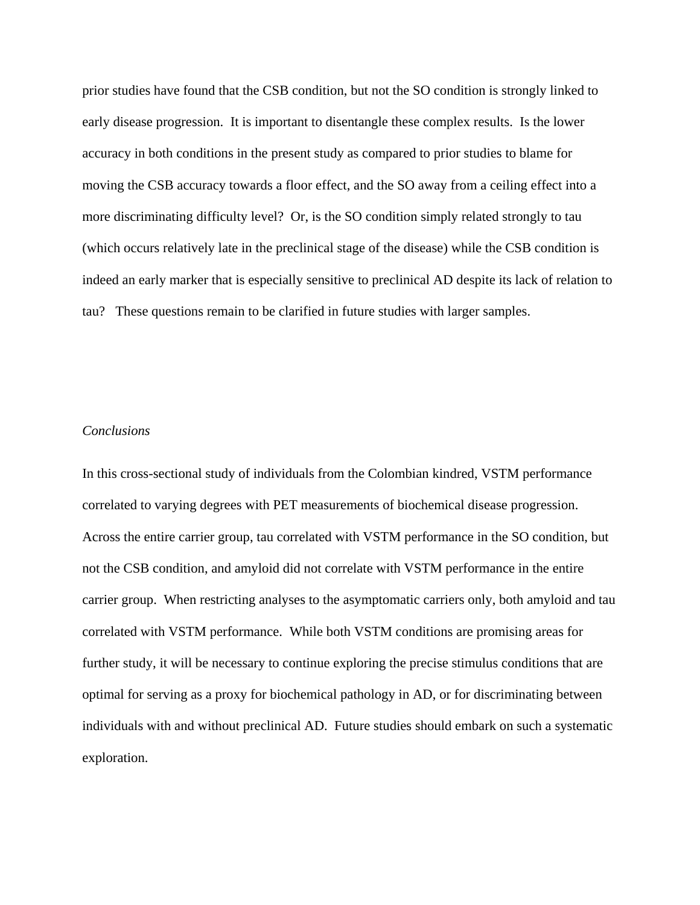prior studies have found that the CSB condition, but not the SO condition is strongly linked to early disease progression. It is important to disentangle these complex results. Is the lower accuracy in both conditions in the present study as compared to prior studies to blame for moving the CSB accuracy towards a floor effect, and the SO away from a ceiling effect into a more discriminating difficulty level? Or, is the SO condition simply related strongly to tau (which occurs relatively late in the preclinical stage of the disease) while the CSB condition is indeed an early marker that is especially sensitive to preclinical AD despite its lack of relation to tau? These questions remain to be clarified in future studies with larger samples.

#### *Conclusions*

In this cross-sectional study of individuals from the Colombian kindred, VSTM performance correlated to varying degrees with PET measurements of biochemical disease progression. Across the entire carrier group, tau correlated with VSTM performance in the SO condition, but not the CSB condition, and amyloid did not correlate with VSTM performance in the entire carrier group. When restricting analyses to the asymptomatic carriers only, both amyloid and tau correlated with VSTM performance. While both VSTM conditions are promising areas for further study, it will be necessary to continue exploring the precise stimulus conditions that are optimal for serving as a proxy for biochemical pathology in AD, or for discriminating between individuals with and without preclinical AD. Future studies should embark on such a systematic exploration.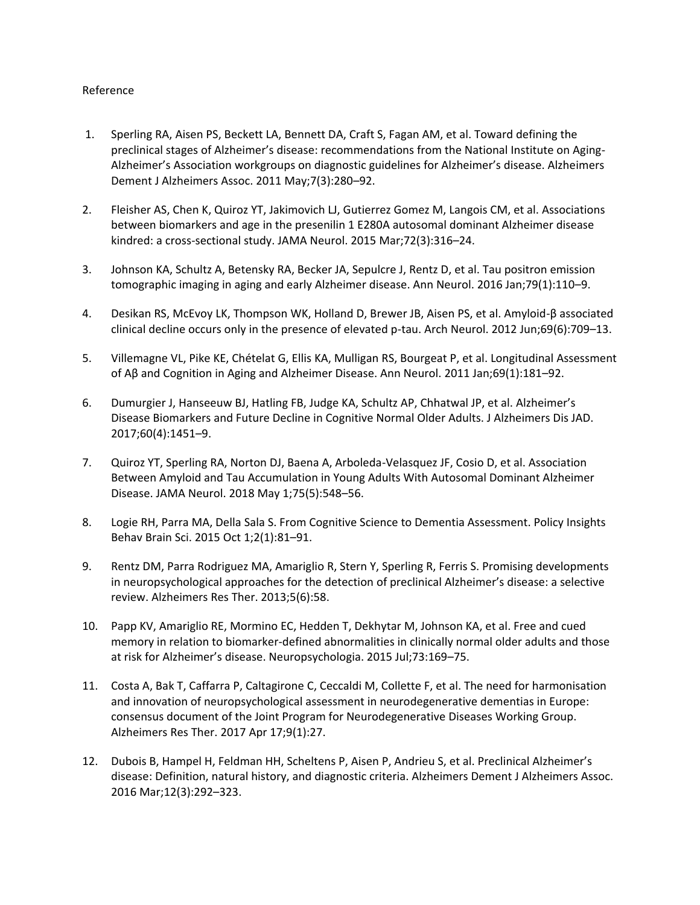#### Reference

- 1. Sperling RA, Aisen PS, Beckett LA, Bennett DA, Craft S, Fagan AM, et al. Toward defining the preclinical stages of Alzheimer's disease: recommendations from the National Institute on Aging-Alzheimer's Association workgroups on diagnostic guidelines for Alzheimer's disease. Alzheimers Dement J Alzheimers Assoc. 2011 May;7(3):280–92.
- 2. Fleisher AS, Chen K, Quiroz YT, Jakimovich LJ, Gutierrez Gomez M, Langois CM, et al. Associations between biomarkers and age in the presenilin 1 E280A autosomal dominant Alzheimer disease kindred: a cross-sectional study. JAMA Neurol. 2015 Mar;72(3):316–24.
- 3. Johnson KA, Schultz A, Betensky RA, Becker JA, Sepulcre J, Rentz D, et al. Tau positron emission tomographic imaging in aging and early Alzheimer disease. Ann Neurol. 2016 Jan;79(1):110–9.
- 4. Desikan RS, McEvoy LK, Thompson WK, Holland D, Brewer JB, Aisen PS, et al. Amyloid-β associated clinical decline occurs only in the presence of elevated p-tau. Arch Neurol. 2012 Jun;69(6):709–13.
- 5. Villemagne VL, Pike KE, Chételat G, Ellis KA, Mulligan RS, Bourgeat P, et al. Longitudinal Assessment of Aβ and Cognition in Aging and Alzheimer Disease. Ann Neurol. 2011 Jan;69(1):181–92.
- 6. Dumurgier J, Hanseeuw BJ, Hatling FB, Judge KA, Schultz AP, Chhatwal JP, et al. Alzheimer's Disease Biomarkers and Future Decline in Cognitive Normal Older Adults. J Alzheimers Dis JAD. 2017;60(4):1451–9.
- 7. Quiroz YT, Sperling RA, Norton DJ, Baena A, Arboleda-Velasquez JF, Cosio D, et al. Association Between Amyloid and Tau Accumulation in Young Adults With Autosomal Dominant Alzheimer Disease. JAMA Neurol. 2018 May 1;75(5):548–56.
- 8. Logie RH, Parra MA, Della Sala S. From Cognitive Science to Dementia Assessment. Policy Insights Behav Brain Sci. 2015 Oct 1;2(1):81–91.
- 9. Rentz DM, Parra Rodriguez MA, Amariglio R, Stern Y, Sperling R, Ferris S. Promising developments in neuropsychological approaches for the detection of preclinical Alzheimer's disease: a selective review. Alzheimers Res Ther. 2013;5(6):58.
- 10. Papp KV, Amariglio RE, Mormino EC, Hedden T, Dekhytar M, Johnson KA, et al. Free and cued memory in relation to biomarker-defined abnormalities in clinically normal older adults and those at risk for Alzheimer's disease. Neuropsychologia. 2015 Jul;73:169–75.
- 11. Costa A, Bak T, Caffarra P, Caltagirone C, Ceccaldi M, Collette F, et al. The need for harmonisation and innovation of neuropsychological assessment in neurodegenerative dementias in Europe: consensus document of the Joint Program for Neurodegenerative Diseases Working Group. Alzheimers Res Ther. 2017 Apr 17;9(1):27.
- 12. Dubois B, Hampel H, Feldman HH, Scheltens P, Aisen P, Andrieu S, et al. Preclinical Alzheimer's disease: Definition, natural history, and diagnostic criteria. Alzheimers Dement J Alzheimers Assoc. 2016 Mar;12(3):292–323.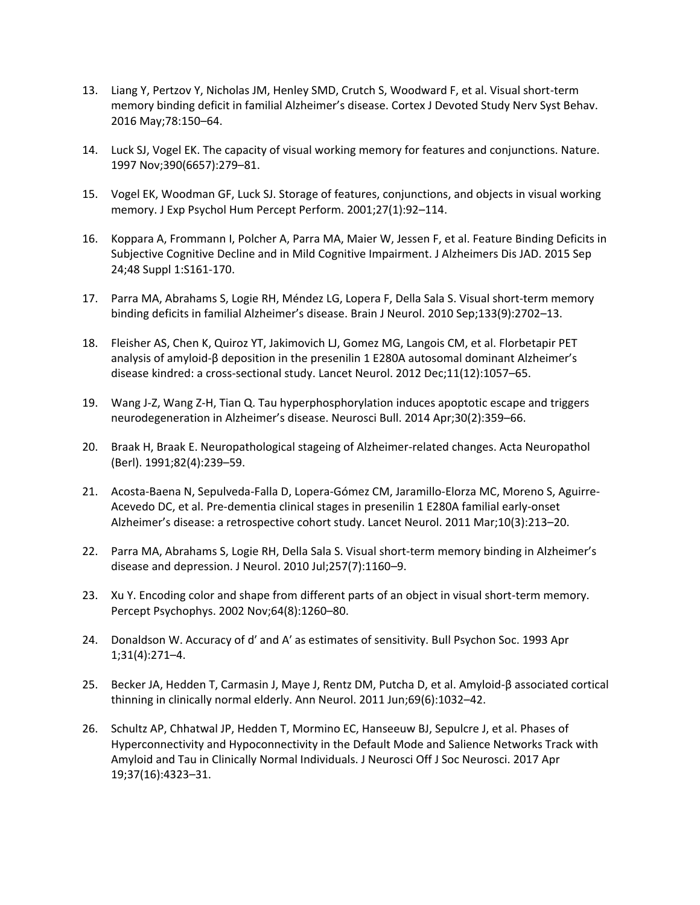- 13. Liang Y, Pertzov Y, Nicholas JM, Henley SMD, Crutch S, Woodward F, et al. Visual short-term memory binding deficit in familial Alzheimer's disease. Cortex J Devoted Study Nerv Syst Behav. 2016 May;78:150–64.
- 14. Luck SJ, Vogel EK. The capacity of visual working memory for features and conjunctions. Nature. 1997 Nov;390(6657):279–81.
- 15. Vogel EK, Woodman GF, Luck SJ. Storage of features, conjunctions, and objects in visual working memory. J Exp Psychol Hum Percept Perform. 2001;27(1):92–114.
- 16. Koppara A, Frommann I, Polcher A, Parra MA, Maier W, Jessen F, et al. Feature Binding Deficits in Subjective Cognitive Decline and in Mild Cognitive Impairment. J Alzheimers Dis JAD. 2015 Sep 24;48 Suppl 1:S161-170.
- 17. Parra MA, Abrahams S, Logie RH, Méndez LG, Lopera F, Della Sala S. Visual short-term memory binding deficits in familial Alzheimer's disease. Brain J Neurol. 2010 Sep;133(9):2702–13.
- 18. Fleisher AS, Chen K, Quiroz YT, Jakimovich LJ, Gomez MG, Langois CM, et al. Florbetapir PET analysis of amyloid-β deposition in the presenilin 1 E280A autosomal dominant Alzheimer's disease kindred: a cross-sectional study. Lancet Neurol. 2012 Dec;11(12):1057–65.
- 19. Wang J-Z, Wang Z-H, Tian Q. Tau hyperphosphorylation induces apoptotic escape and triggers neurodegeneration in Alzheimer's disease. Neurosci Bull. 2014 Apr;30(2):359–66.
- 20. Braak H, Braak E. Neuropathological stageing of Alzheimer-related changes. Acta Neuropathol (Berl). 1991;82(4):239–59.
- 21. Acosta-Baena N, Sepulveda-Falla D, Lopera-Gómez CM, Jaramillo-Elorza MC, Moreno S, Aguirre-Acevedo DC, et al. Pre-dementia clinical stages in presenilin 1 E280A familial early-onset Alzheimer's disease: a retrospective cohort study. Lancet Neurol. 2011 Mar;10(3):213–20.
- 22. Parra MA, Abrahams S, Logie RH, Della Sala S. Visual short-term memory binding in Alzheimer's disease and depression. J Neurol. 2010 Jul;257(7):1160–9.
- 23. Xu Y. Encoding color and shape from different parts of an object in visual short-term memory. Percept Psychophys. 2002 Nov;64(8):1260–80.
- 24. Donaldson W. Accuracy of d' and A' as estimates of sensitivity. Bull Psychon Soc. 1993 Apr 1;31(4):271–4.
- 25. Becker JA, Hedden T, Carmasin J, Maye J, Rentz DM, Putcha D, et al. Amyloid-β associated cortical thinning in clinically normal elderly. Ann Neurol. 2011 Jun;69(6):1032–42.
- 26. Schultz AP, Chhatwal JP, Hedden T, Mormino EC, Hanseeuw BJ, Sepulcre J, et al. Phases of Hyperconnectivity and Hypoconnectivity in the Default Mode and Salience Networks Track with Amyloid and Tau in Clinically Normal Individuals. J Neurosci Off J Soc Neurosci. 2017 Apr 19;37(16):4323–31.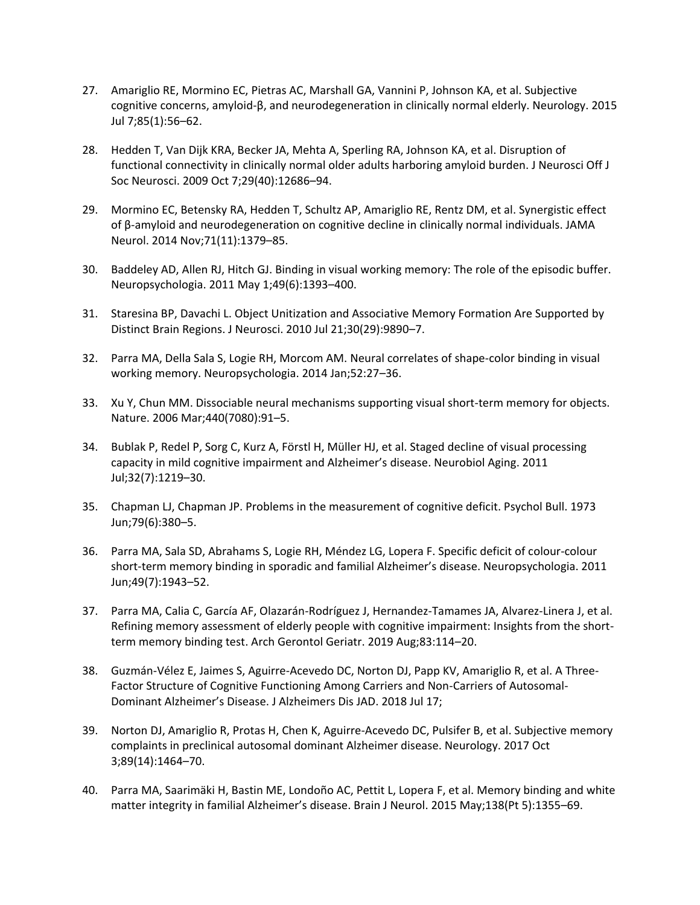- 27. Amariglio RE, Mormino EC, Pietras AC, Marshall GA, Vannini P, Johnson KA, et al. Subjective cognitive concerns, amyloid-β, and neurodegeneration in clinically normal elderly. Neurology. 2015 Jul 7;85(1):56–62.
- 28. Hedden T, Van Dijk KRA, Becker JA, Mehta A, Sperling RA, Johnson KA, et al. Disruption of functional connectivity in clinically normal older adults harboring amyloid burden. J Neurosci Off J Soc Neurosci. 2009 Oct 7;29(40):12686–94.
- 29. Mormino EC, Betensky RA, Hedden T, Schultz AP, Amariglio RE, Rentz DM, et al. Synergistic effect of β-amyloid and neurodegeneration on cognitive decline in clinically normal individuals. JAMA Neurol. 2014 Nov;71(11):1379–85.
- 30. Baddeley AD, Allen RJ, Hitch GJ. Binding in visual working memory: The role of the episodic buffer. Neuropsychologia. 2011 May 1;49(6):1393–400.
- 31. Staresina BP, Davachi L. Object Unitization and Associative Memory Formation Are Supported by Distinct Brain Regions. J Neurosci. 2010 Jul 21;30(29):9890–7.
- 32. Parra MA, Della Sala S, Logie RH, Morcom AM. Neural correlates of shape-color binding in visual working memory. Neuropsychologia. 2014 Jan;52:27–36.
- 33. Xu Y, Chun MM. Dissociable neural mechanisms supporting visual short-term memory for objects. Nature. 2006 Mar;440(7080):91–5.
- 34. Bublak P, Redel P, Sorg C, Kurz A, Förstl H, Müller HJ, et al. Staged decline of visual processing capacity in mild cognitive impairment and Alzheimer's disease. Neurobiol Aging. 2011 Jul;32(7):1219–30.
- 35. Chapman LJ, Chapman JP. Problems in the measurement of cognitive deficit. Psychol Bull. 1973 Jun;79(6):380–5.
- 36. Parra MA, Sala SD, Abrahams S, Logie RH, Méndez LG, Lopera F. Specific deficit of colour-colour short-term memory binding in sporadic and familial Alzheimer's disease. Neuropsychologia. 2011 Jun;49(7):1943–52.
- 37. Parra MA, Calia C, García AF, Olazarán-Rodríguez J, Hernandez-Tamames JA, Alvarez-Linera J, et al. Refining memory assessment of elderly people with cognitive impairment: Insights from the shortterm memory binding test. Arch Gerontol Geriatr. 2019 Aug;83:114–20.
- 38. Guzmán-Vélez E, Jaimes S, Aguirre-Acevedo DC, Norton DJ, Papp KV, Amariglio R, et al. A Three-Factor Structure of Cognitive Functioning Among Carriers and Non-Carriers of Autosomal-Dominant Alzheimer's Disease. J Alzheimers Dis JAD. 2018 Jul 17;
- 39. Norton DJ, Amariglio R, Protas H, Chen K, Aguirre-Acevedo DC, Pulsifer B, et al. Subjective memory complaints in preclinical autosomal dominant Alzheimer disease. Neurology. 2017 Oct 3;89(14):1464–70.
- 40. Parra MA, Saarimäki H, Bastin ME, Londoño AC, Pettit L, Lopera F, et al. Memory binding and white matter integrity in familial Alzheimer's disease. Brain J Neurol. 2015 May;138(Pt 5):1355–69.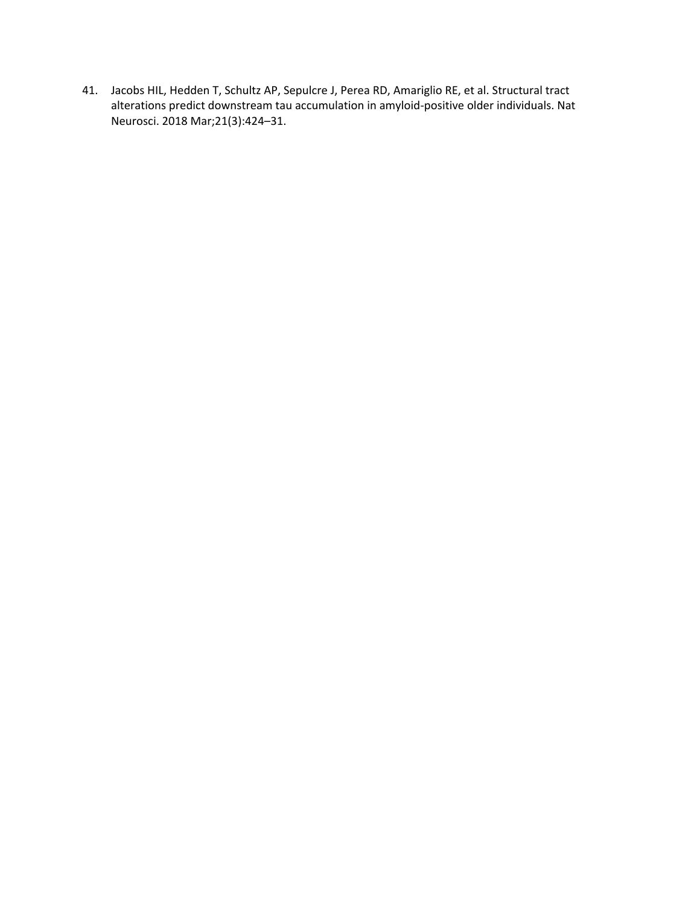41. Jacobs HIL, Hedden T, Schultz AP, Sepulcre J, Perea RD, Amariglio RE, et al. Structural tract alterations predict downstream tau accumulation in amyloid-positive older individuals. Nat Neurosci. 2018 Mar;21(3):424–31.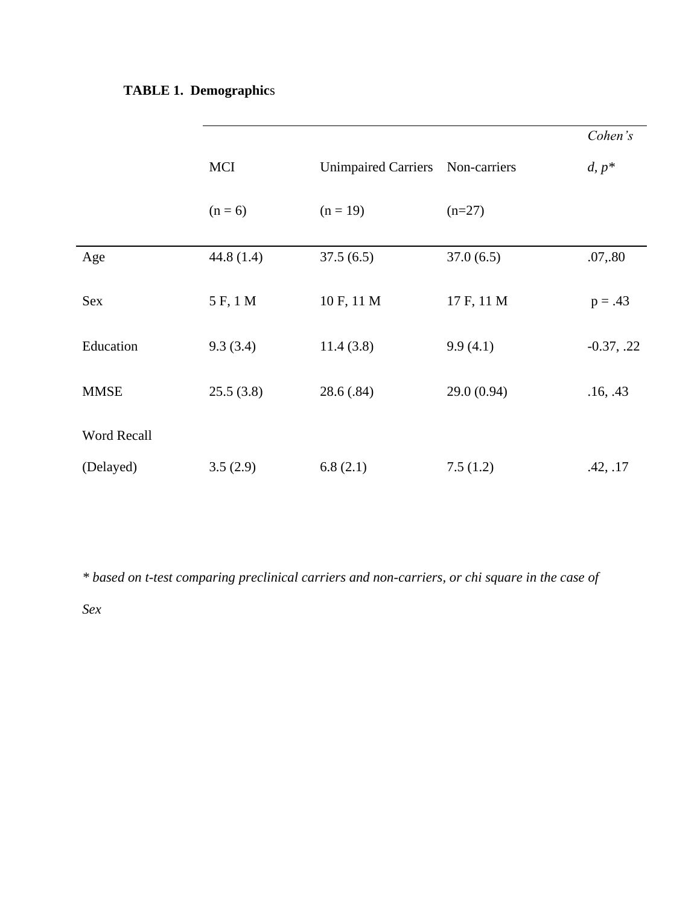# **TABLE 1. Demographic**s

|             |              |                            |              | Cohen's      |
|-------------|--------------|----------------------------|--------------|--------------|
|             | <b>MCI</b>   | <b>Unimpaired Carriers</b> | Non-carriers | $d, p^*$     |
|             | $(n=6)$      | $(n = 19)$                 | $(n=27)$     |              |
| Age         | 44.8 $(1.4)$ | 37.5(6.5)                  | 37.0(6.5)    | .07, .80     |
| Sex         | 5 F, 1 M     | 10 F, 11 M                 | 17 F, 11 M   | $p = .43$    |
| Education   | 9.3(3.4)     | 11.4(3.8)                  | 9.9(4.1)     | $-0.37, .22$ |
| <b>MMSE</b> | 25.5(3.8)    | 28.6(.84)                  | 29.0(0.94)   | .16, .43     |
| Word Recall |              |                            |              |              |
| (Delayed)   | 3.5(2.9)     | 6.8(2.1)                   | 7.5(1.2)     | .42, .17     |

*\* based on t-test comparing preclinical carriers and non-carriers, or chi square in the case of* 

*Sex*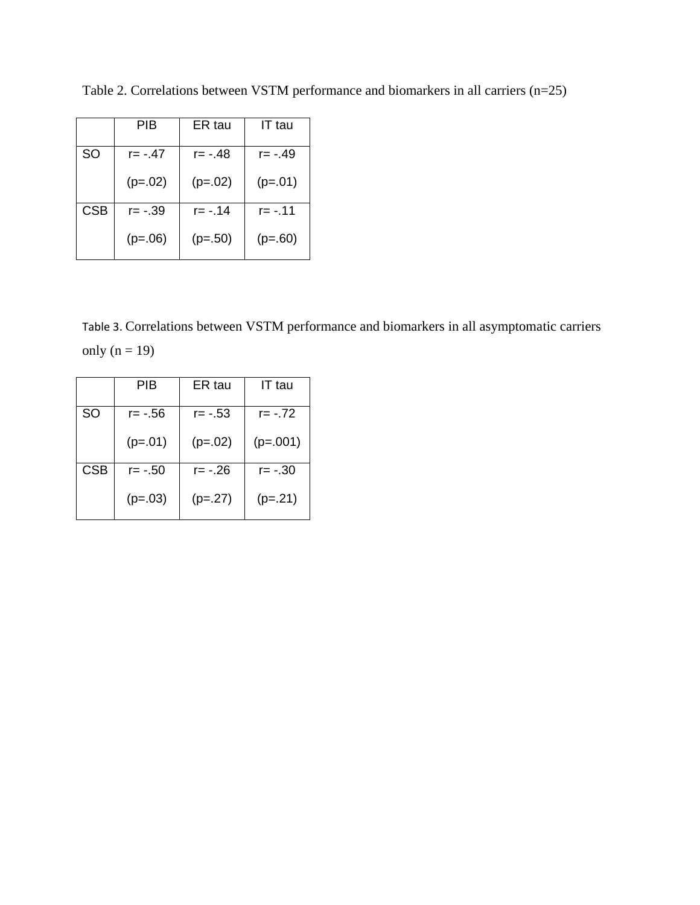|            | PIB       | ER tau      | IT tau      |
|------------|-----------|-------------|-------------|
| SO         | $r = -47$ | r= -.48     | r= - 49     |
|            | $(p=.02)$ | $(p=.02)$   | $(p=.01)$   |
| <b>CSB</b> | $r = -39$ | $r = -0.14$ | $r = -0.11$ |
|            | $(p=.06)$ | $(p=.50)$   | $(p=.60)$   |

Table 2. Correlations between VSTM performance and biomarkers in all carriers (n=25)

Table 3. Correlations between VSTM performance and biomarkers in all asymptomatic carriers only  $(n = 19)$ 

|            | PIB       | ER tau      | IT tau     |
|------------|-----------|-------------|------------|
| <b>SO</b>  | r= -.56   | $r = -0.53$ | $r = -72$  |
|            | $(p=.01)$ | $(p=.02)$   | $(p=.001)$ |
| <b>CSB</b> | r= - 50   | $r = -26$   | $r = -30$  |
|            | $(p=.03)$ | $(p=.27)$   | $(p=.21)$  |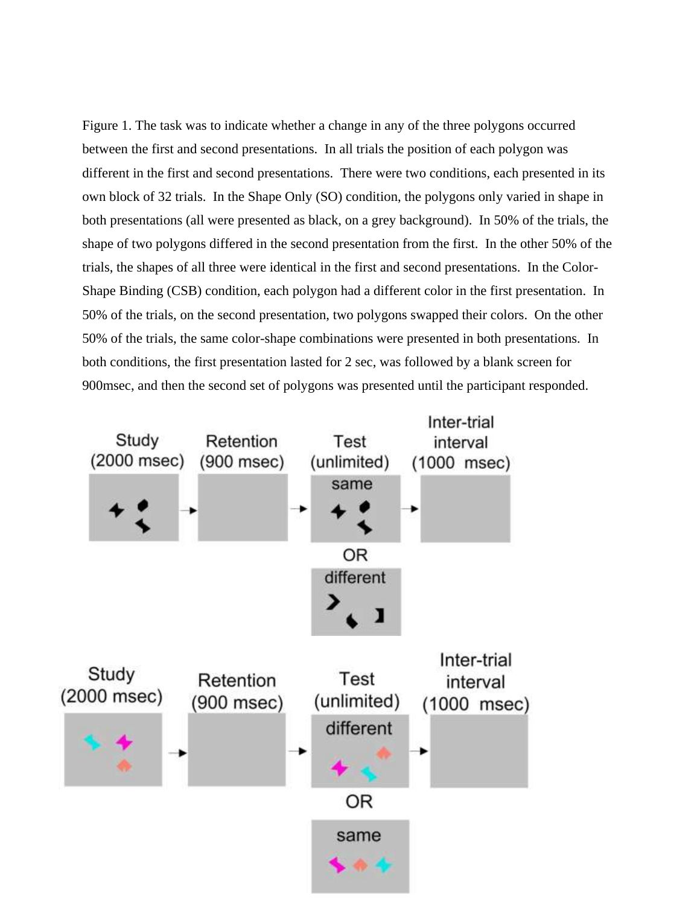Figure 1. The task was to indicate whether a change in any of the three polygons occurred between the first and second presentations. In all trials the position of each polygon was different in the first and second presentations. There were two conditions, each presented in its own block of 32 trials. In the Shape Only (SO) condition, the polygons only varied in shape in both presentations (all were presented as black, on a grey background). In 50% of the trials, the shape of two polygons differed in the second presentation from the first. In the other 50% of the trials, the shapes of all three were identical in the first and second presentations. In the Color-Shape Binding (CSB) condition, each polygon had a different color in the first presentation. In 50% of the trials, on the second presentation, two polygons swapped their colors. On the other 50% of the trials, the same color-shape combinations were presented in both presentations. In both conditions, the first presentation lasted for 2 sec, was followed by a blank screen for 900msec, and then the second set of polygons was presented until the participant responded.

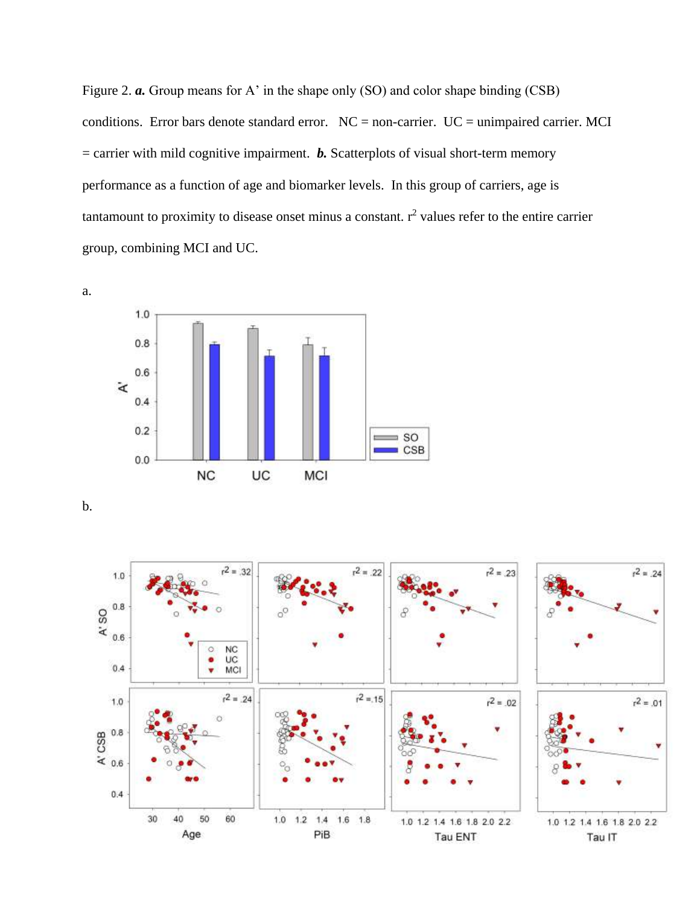Figure 2. *a.* Group means for A' in the shape only (SO) and color shape binding (CSB) conditions. Error bars denote standard error.  $NC = non-carrier$ .  $UC = unimpaired carrier$ . MCI  $=$  carrier with mild cognitive impairment. *b*. Scatterplots of visual short-term memory performance as a function of age and biomarker levels. In this group of carriers, age is tantamount to proximity to disease onset minus a constant.  $r^2$  values refer to the entire carrier group, combining MCI and UC.



b.